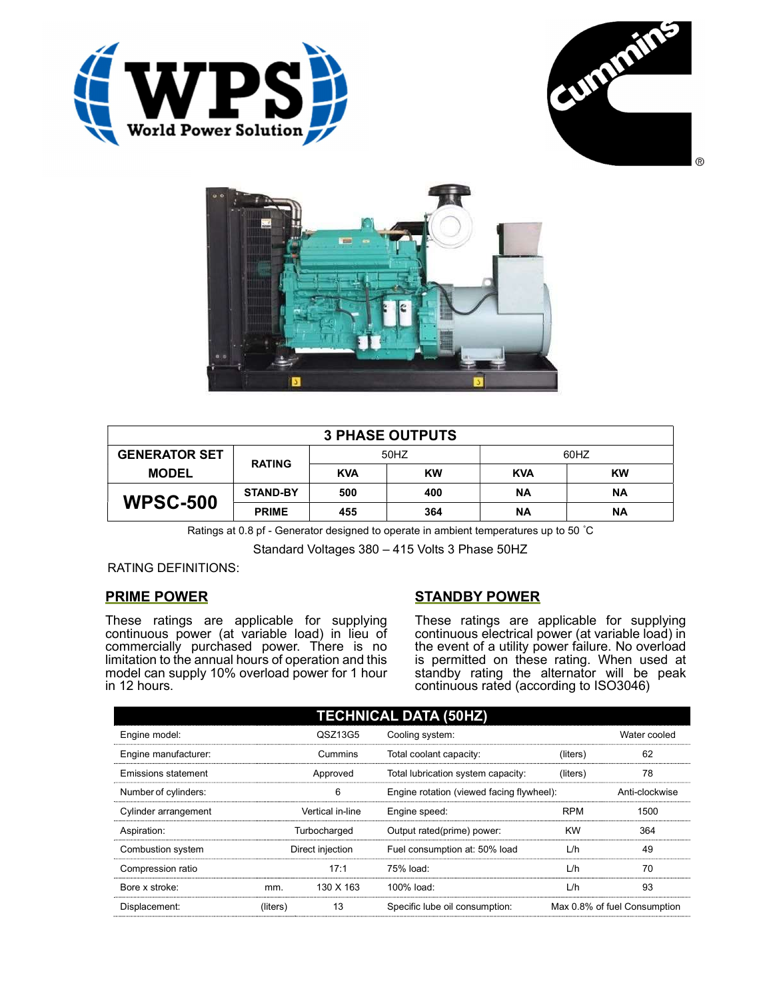





| <b>3 PHASE OUTPUTS</b> |                 |            |           |            |           |  |
|------------------------|-----------------|------------|-----------|------------|-----------|--|
| <b>GENERATOR SET</b>   | <b>RATING</b>   | 50HZ       |           | 60HZ       |           |  |
| <b>MODEL</b>           |                 | <b>KVA</b> | <b>KW</b> | <b>KVA</b> | <b>KW</b> |  |
| <b>WPSC-500</b>        | <b>STAND-BY</b> | 500        | 400       | ΝA         | ΝA        |  |
|                        | <b>PRIME</b>    | 455        | 364       | <b>NA</b>  | ΝA        |  |

Ratings at 0.8 pf - Generator designed to operate in ambient temperatures up to 50 °C

Standard Voltages 380 – 415 Volts 3 Phase 50HZ

# RATING DEFINITIONS:

# PRIME POWER

These ratings are applicable for supplying continuous power (at variable load) in lieu of commercially purchased power. There is no limitation to the annual hours of operation and this model can supply 10% overload power for 1 hour in 12 hours.

# STANDBY POWER

These ratings are applicable for supplying continuous electrical power (at variable load) in the event of a utility power failure. No overload is permitted on these rating. When used at standby rating the alternator will be peak continuous rated (according to ISO3046)

| <b>TECHNICAL DATA (50HZ)</b> |                  |           |                                           |            |                              |  |
|------------------------------|------------------|-----------|-------------------------------------------|------------|------------------------------|--|
| Engine model:                |                  | QSZ13G5   | Cooling system:                           |            | Water cooled                 |  |
| Engine manufacturer:         |                  | Cummins   | Total coolant capacity:                   | (liters)   | 62                           |  |
| Emissions statement          | Approved         |           | Total lubrication system capacity:        | (liters)   | 78                           |  |
| Number of cylinders:         | 6                |           | Engine rotation (viewed facing flywheel): |            | Anti-clockwise               |  |
| Cylinder arrangement         | Vertical in-line |           | Engine speed:                             | <b>RPM</b> | 1500                         |  |
| Aspiration:                  | Turbocharged     |           | Output rated(prime) power:                | <b>KW</b>  | 364                          |  |
| Combustion system            | Direct injection |           | Fuel consumption at: 50% load             | L/h        | 49                           |  |
| Compression ratio            |                  | 17:1      | 75% load:                                 | L/h        | 70                           |  |
| Bore x stroke:               | mm.              | 130 X 163 | 100% load:                                | L/h        | 93                           |  |
| Displacement:                | (liters)         | 13        | Specific lube oil consumption:            |            | Max 0.8% of fuel Consumption |  |